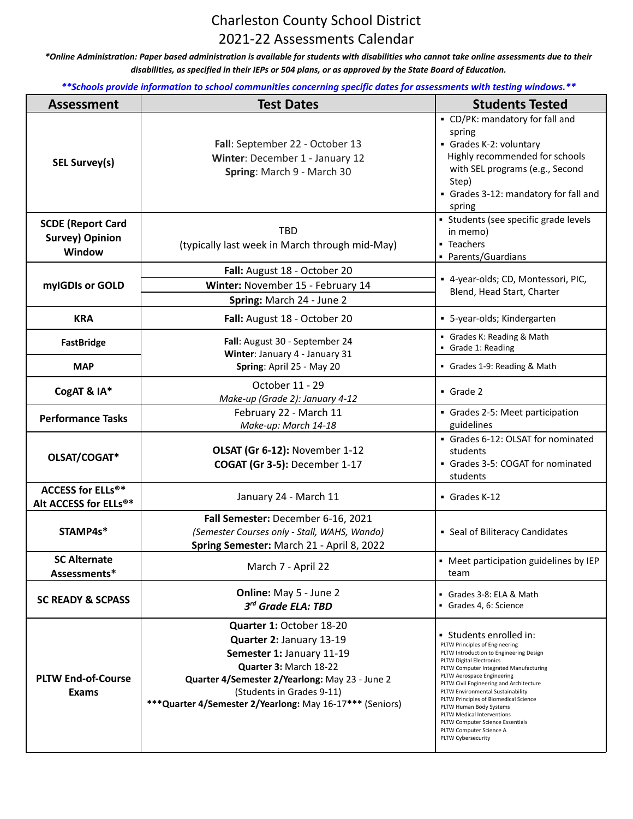## Charleston County School District 2021-22 Assessments Calendar

*\*Online Administration: Paper based administration is available for students with disabilities who cannot take online assessments due to their disabilities, as specified in their IEPs or 504 plans, or as approved by the State Board of Education.*

*\*\*Schools provide information to school communities concerning specific dates for assessments with testing windows.\*\**

| <b>Assessment</b>                                            | <b>Test Dates</b>                                                                                                                                                                                                                                       | <b>Students Tested</b>                                                                                                                                                                                                                                                                                                                                                                                                                                                                      |
|--------------------------------------------------------------|---------------------------------------------------------------------------------------------------------------------------------------------------------------------------------------------------------------------------------------------------------|---------------------------------------------------------------------------------------------------------------------------------------------------------------------------------------------------------------------------------------------------------------------------------------------------------------------------------------------------------------------------------------------------------------------------------------------------------------------------------------------|
| <b>SEL Survey(s)</b>                                         | Fall: September 22 - October 13<br>Winter: December 1 - January 12<br>Spring: March 9 - March 30                                                                                                                                                        | • CD/PK: mandatory for fall and<br>spring<br>Grades K-2: voluntary<br>Highly recommended for schools<br>with SEL programs (e.g., Second<br>Step)<br>Grades 3-12: mandatory for fall and<br>spring                                                                                                                                                                                                                                                                                           |
| <b>SCDE (Report Card</b><br><b>Survey) Opinion</b><br>Window | <b>TBD</b><br>(typically last week in March through mid-May)                                                                                                                                                                                            | • Students (see specific grade levels<br>in memo)<br>- Teachers<br>• Parents/Guardians                                                                                                                                                                                                                                                                                                                                                                                                      |
| myIGDIs or GOLD                                              | Fall: August 18 - October 20<br>Winter: November 15 - February 14<br>Spring: March 24 - June 2                                                                                                                                                          | - 4-year-olds; CD, Montessori, PIC,<br>Blend, Head Start, Charter                                                                                                                                                                                                                                                                                                                                                                                                                           |
| <b>KRA</b>                                                   | Fall: August 18 - October 20                                                                                                                                                                                                                            | • 5-year-olds; Kindergarten                                                                                                                                                                                                                                                                                                                                                                                                                                                                 |
| FastBridge                                                   | Fall: August 30 - September 24<br>Winter: January 4 - January 31                                                                                                                                                                                        | Grades K: Reading & Math<br>Grade 1: Reading                                                                                                                                                                                                                                                                                                                                                                                                                                                |
| <b>MAP</b>                                                   | Spring: April 25 - May 20                                                                                                                                                                                                                               | Grades 1-9: Reading & Math                                                                                                                                                                                                                                                                                                                                                                                                                                                                  |
| CogAT & IA*                                                  | October 11 - 29<br>Make-up (Grade 2): January 4-12                                                                                                                                                                                                      | $\blacksquare$ Grade 2                                                                                                                                                                                                                                                                                                                                                                                                                                                                      |
| <b>Performance Tasks</b>                                     | February 22 - March 11<br>Make-up: March 14-18                                                                                                                                                                                                          | Grades 2-5: Meet participation<br>guidelines                                                                                                                                                                                                                                                                                                                                                                                                                                                |
| OLSAT/COGAT*                                                 | <b>OLSAT (Gr 6-12): November 1-12</b><br>COGAT (Gr 3-5): December 1-17                                                                                                                                                                                  | Grades 6-12: OLSAT for nominated<br>students<br>Grades 3-5: COGAT for nominated<br>students                                                                                                                                                                                                                                                                                                                                                                                                 |
| <b>ACCESS for ELLs®*</b><br>Alt ACCESS for ELLs®*            | January 24 - March 11                                                                                                                                                                                                                                   | Grades K-12                                                                                                                                                                                                                                                                                                                                                                                                                                                                                 |
| STAMP4s*                                                     | Fall Semester: December 6-16, 2021<br>(Semester Courses only - Stall, WAHS, Wando)<br>Spring Semester: March 21 - April 8, 2022                                                                                                                         | • Seal of Biliteracy Candidates                                                                                                                                                                                                                                                                                                                                                                                                                                                             |
| <b>SC Alternate</b><br>Assessments*                          | March 7 - April 22                                                                                                                                                                                                                                      | • Meet participation guidelines by IEP<br>team                                                                                                                                                                                                                                                                                                                                                                                                                                              |
| <b>SC READY &amp; SCPASS</b>                                 | Online: May 5 - June 2<br>3 <sup>rd</sup> Grade ELA: TBD                                                                                                                                                                                                | Grades 3-8: ELA & Math<br>Grades 4, 6: Science                                                                                                                                                                                                                                                                                                                                                                                                                                              |
| <b>PLTW End-of-Course</b><br><b>Exams</b>                    | Quarter 1: October 18-20<br>Quarter 2: January 13-19<br>Semester 1: January 11-19<br>Quarter 3: March 18-22<br>Quarter 4/Semester 2/Yearlong: May 23 - June 2<br>(Students in Grades 9-11)<br>*** Quarter 4/Semester 2/Yearlong: May 16-17*** (Seniors) | Students enrolled in:<br>PLTW Principles of Engineering<br>PLTW Introduction to Engineering Design<br><b>PLTW Digital Electronics</b><br>PLTW Computer Integrated Manufacturing<br>PLTW Aerospace Engineering<br>PLTW Civil Engineering and Architecture<br>PLTW Environmental Sustainability<br>PLTW Principles of Biomedical Science<br>PLTW Human Body Systems<br><b>PLTW Medical Interventions</b><br>PLTW Computer Science Essentials<br>PLTW Computer Science A<br>PLTW Cybersecurity |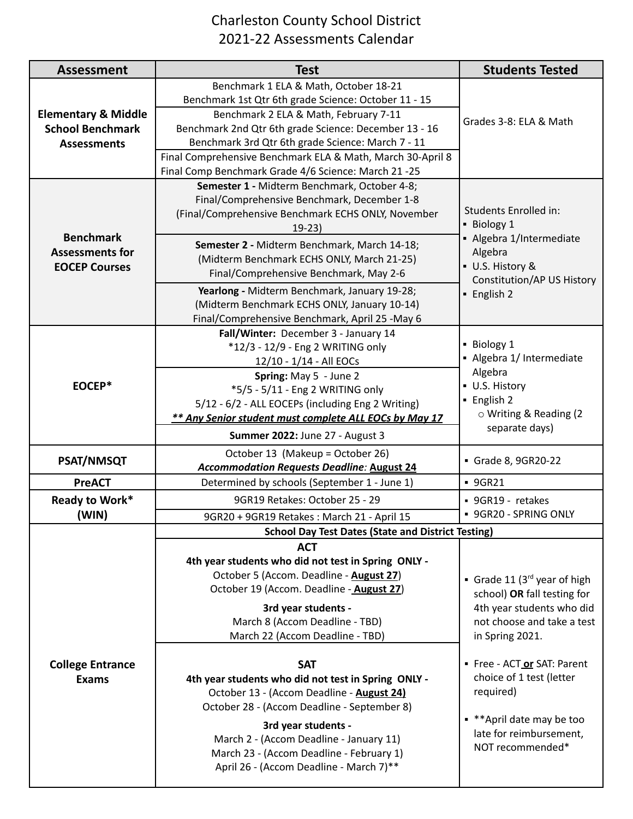## Charleston County School District 2021-22 Assessments Calendar

| <b>Assessment</b>              | <b>Test</b>                                                                           | <b>Students Tested</b>                                                     |  |
|--------------------------------|---------------------------------------------------------------------------------------|----------------------------------------------------------------------------|--|
|                                | Benchmark 1 ELA & Math, October 18-21                                                 |                                                                            |  |
|                                | Benchmark 1st Qtr 6th grade Science: October 11 - 15                                  |                                                                            |  |
| <b>Elementary &amp; Middle</b> | Benchmark 2 ELA & Math, February 7-11                                                 | Grades 3-8: ELA & Math                                                     |  |
| <b>School Benchmark</b>        | Benchmark 2nd Qtr 6th grade Science: December 13 - 16                                 |                                                                            |  |
| <b>Assessments</b>             | Benchmark 3rd Qtr 6th grade Science: March 7 - 11                                     |                                                                            |  |
|                                | Final Comprehensive Benchmark ELA & Math, March 30-April 8                            |                                                                            |  |
|                                | Final Comp Benchmark Grade 4/6 Science: March 21 -25                                  |                                                                            |  |
|                                | Semester 1 - Midterm Benchmark, October 4-8;                                          |                                                                            |  |
|                                | Final/Comprehensive Benchmark, December 1-8                                           | <b>Students Enrolled in:</b><br>· Biology 1                                |  |
|                                | (Final/Comprehensive Benchmark ECHS ONLY, November                                    |                                                                            |  |
| <b>Benchmark</b>               | $19-23$                                                                               | - Algebra 1/Intermediate                                                   |  |
| <b>Assessments for</b>         | Semester 2 - Midterm Benchmark, March 14-18;                                          | Algebra                                                                    |  |
| <b>EOCEP Courses</b>           | (Midterm Benchmark ECHS ONLY, March 21-25)                                            | U.S. History &                                                             |  |
|                                | Final/Comprehensive Benchmark, May 2-6                                                | Constitution/AP US History                                                 |  |
|                                | Yearlong - Midterm Benchmark, January 19-28;                                          | • English 2                                                                |  |
|                                | (Midterm Benchmark ECHS ONLY, January 10-14)                                          |                                                                            |  |
|                                | Final/Comprehensive Benchmark, April 25 -May 6                                        |                                                                            |  |
|                                | Fall/Winter: December 3 - January 14                                                  | • Biology 1                                                                |  |
|                                | *12/3 - 12/9 - Eng 2 WRITING only                                                     | • Algebra 1/ Intermediate                                                  |  |
|                                | 12/10 - 1/14 - All EOCs                                                               | Algebra                                                                    |  |
| EOCEP*                         | Spring: May 5 - June 2                                                                | · U.S. History                                                             |  |
|                                | *5/5 - 5/11 - Eng 2 WRITING only<br>5/12 - 6/2 - ALL EOCEPs (including Eng 2 Writing) | • English 2                                                                |  |
|                                | ** Any Senior student must complete ALL EOCs by May 17                                | o Writing & Reading (2<br>separate days)                                   |  |
|                                |                                                                                       |                                                                            |  |
|                                | Summer 2022: June 27 - August 3                                                       |                                                                            |  |
| <b>PSAT/NMSQT</b>              | October 13 (Makeup = October 26)                                                      | Grade 8, 9GR20-22                                                          |  |
|                                | <b>Accommodation Requests Deadline: August 24</b>                                     |                                                                            |  |
| <b>PreACT</b>                  | Determined by schools (September 1 - June 1)                                          | $-9$ GR21                                                                  |  |
| Ready to Work*                 | 9GR19 Retakes: October 25 - 29                                                        | • 9GR19 - retakes                                                          |  |
| (WIN)                          | 9GR20 + 9GR19 Retakes: March 21 - April 15                                            | · 9GR20 - SPRING ONLY                                                      |  |
|                                | <b>School Day Test Dates (State and District Testing)</b>                             |                                                                            |  |
|                                | <b>ACT</b><br>4th year students who did not test in Spring ONLY -                     |                                                                            |  |
|                                | October 5 (Accom. Deadline - August 27)                                               |                                                                            |  |
|                                | October 19 (Accom. Deadline - August 27)                                              | Grade 11 ( $3^{rd}$ year of high                                           |  |
|                                |                                                                                       | school) OR fall testing for                                                |  |
|                                | 3rd year students -<br>March 8 (Accom Deadline - TBD)                                 | 4th year students who did<br>not choose and take a test<br>in Spring 2021. |  |
|                                | March 22 (Accom Deadline - TBD)                                                       |                                                                            |  |
|                                |                                                                                       |                                                                            |  |
| <b>College Entrance</b>        | <b>SAT</b>                                                                            | Free - ACT or SAT: Parent                                                  |  |
| <b>Exams</b>                   | 4th year students who did not test in Spring ONLY -                                   | choice of 1 test (letter                                                   |  |
|                                | October 13 - (Accom Deadline - August 24)                                             | required)                                                                  |  |
|                                | October 28 - (Accom Deadline - September 8)                                           |                                                                            |  |
|                                | 3rd year students -                                                                   | ** April date may be too                                                   |  |
|                                | March 2 - (Accom Deadline - January 11)                                               | late for reimbursement,<br>NOT recommended*                                |  |
|                                | March 23 - (Accom Deadline - February 1)                                              |                                                                            |  |
|                                | April 26 - (Accom Deadline - March 7)**                                               |                                                                            |  |
|                                |                                                                                       |                                                                            |  |